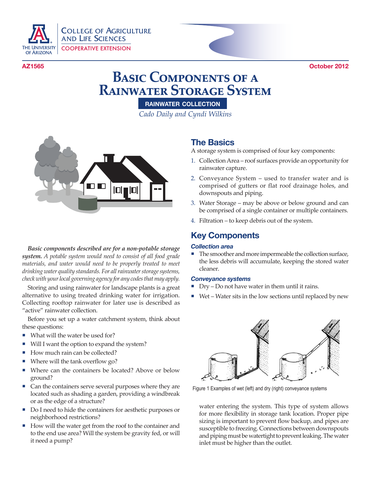

COLLEGE OF AGRICULTURE AND LIFE SCIENCES COOPERATIVE EXTENSION

**AZ1565 October 2012**

# **Basic Components of a Rainwater Storage System**

**rainwater collection**

*Cado Daily and Cyndi Wilkins*



*Basic components described are for a non-potable storage system. A potable system would need to consist of all food grade materials, and water would need to be properly treated to meet drinking water quality standards. For all rainwater storage systems, check with your local governing agency for any codes that may apply.*

Storing and using rainwater for landscape plants is a great alternative to using treated drinking water for irrigation. Collecting rooftop rainwater for later use is described as "active" rainwater collection.

Before you set up a water catchment system, think about these questions:

- What will the water be used for?
- Will I want the option to expand the system?
- How much rain can be collected?
- Where will the tank overflow go?
- Where can the containers be located? Above or below ground?
- Can the containers serve several purposes where they are located such as shading a garden, providing a windbreak or as the edge of a structure?
- Do I need to hide the containers for aesthetic purposes or neighborhood restrictions?
- How will the water get from the roof to the container and to the end use area? Will the system be gravity fed, or will it need a pump?

### **The Basics**

A storage system is comprised of four key components:

- 1. Collection Area roof surfaces provide an opportunity for rainwater capture.
- 2. Conveyance System used to transfer water and is comprised of gutters or flat roof drainage holes, and downspouts and piping.
- 3. Water Storage may be above or below ground and can be comprised of a single container or multiple containers.
- 4. Filtration to keep debris out of the system.

## **Key Components**

### *Collection area*

■ The smoother and more impermeable the collection surface, the less debris will accumulate, keeping the stored water cleaner.

### *Conveyance systems*

- $_{\rm{Dry}-\rm{Do}}$  not have water in them until it rains.
- $\blacksquare$  Wet Water sits in the low sections until replaced by new



Figure 1 Examples of wet (left) and dry (right) conveyance systems

water entering the system. This type of system allows for more flexibility in storage tank location. Proper pipe sizing is important to preven<sup>t</sup> flow backup, and pipes are susceptible to freezing. Connections between downspouts and piping must be watertight to prevent leaking. The water inlet must be higher than the outlet.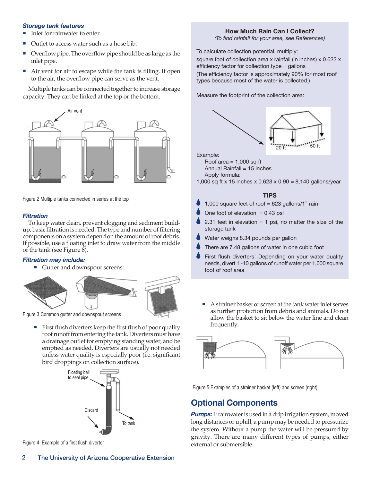#### *Storage tank features*

- Inlet for rainwater to enter.
- Outlet to access water such as a hose bib.
- ¡Overflow pipe. The overflow pipe should be as large as the inlet pipe.
- Air vent for air to escape while the tank is filling. If open to the air, the overflow pipe can serve as the vent.

Multiple tanks can be connected together to increase storage capacity. They can be linked at the top or the bottom.



Figure 2 Multiple tanks connected in series at the top

#### *Filtration*

To keep water clean, prevent clogging and sediment buildup, basic filtration is needed. The type and number of filtering components on a system depend on the amount of roof debris. If possible, use a floating inlet to draw water from the middle of the tank (see Figure 8).

### *Filtration may include:*

■ Gutter and downspout screens:



Figure 3 Common gutter and downspout screens

 $\blacksquare$  First flush diverters keep the first flush of poor quality roof runoff from entering the tank. Diverters must have a drainage outlet for emptying standing water, and be emptied as needed. Diverters are usually not needed unless water quality is especially poor (i.e. significant bird droppings on collection surface).



Figure 4 Example of a first flush diverter

### **How Much Rain Can I Collect?**

*(To find rainfall for your area, see References)*

To calculate collection potential, multiply: square foot of collection area x rainfall (in inches) x 0.623 x efficiency factor for collection type = gallons (The efficiency factor is approximately 90% for most roof types because most of the water is collected.)

Measure the footprint of the collection area:



Roof area  $= 1,000$  sq ft Annual Rainfall  $= 15$  inches Apply formula:

1,000 sq ft x 15 inches x 0.623 x 0.90 = 8,140 gallons/year

### **TIPS**

- 1,000 square feet of roof = 623 gallons/1" rain
- One foot of elevation  $= 0.43$  psi
- 2.31 feet in elevation  $= 1$  psi, no matter the size of the storage tank
- Water weighs 8.34 pounds per gallon
- There are 7.48 gallons of water in one cubic foot
- First flush diverters: Depending on your water quality needs, divert 1 -10 gallons of runoff water per 1,000 square foot of roof area
	- ¡ A strainer basket or screen at the tank water inlet serves as further protection from debris and animals. Do not allow the basket to sit below the water line and clean frequently.



Figure 5 Examples of a strainer basket (left) and screen (right)

### **Optional Components**

**Pumps:** If rainwater is used in a drip irrigation system, moved long distances or uphill, a pump may be needed to pressurize the system. Without a pump the water will be pressured by gravity. There are many different types of pumps, either external or submersible.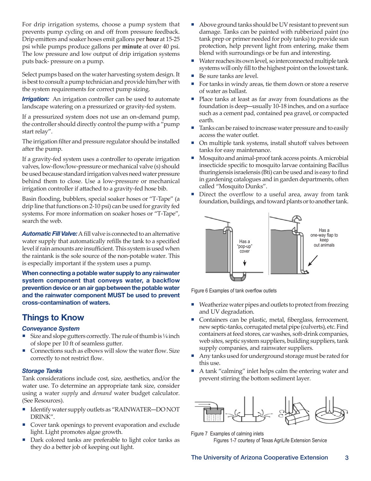For drip irrigation systems, choose a pump system that prevents pump cycling on and off from pressure feedback. Drip emitters and soaker hoses emit gallons per **hour** at 15-25 psi while pumps produce gallons per **minute** at over 40 psi. The low pressure and low output of drip irrigation systems puts back- pressure on a pump.

Select pumps based on the water harvesting system design. It is best to consult a pump technician and provide him/her with the system requirements for correct pump sizing.

*Irrigation:* An irrigation controller can be used to automate landscape watering on a pressurized or gravity-fed system.

If a pressurized system does not use an on-demand pump, the controller should directly control the pump with a "pump start relay".

The irrigation filter and pressure regulator should be installed after the pump.

If a gravity-fed system uses a controller to operate irrigation valves, low-flow/low-pressure or mechanical valve (s) should be used because standard irrigation valves need water pressure behind them to close. Use a low-pressure or mechanical irrigation controller if attached to <sup>a</sup> gravity-fed hose bib.

Basin flooding, bubblers, special soaker hoses or "T-Tape" (a drip line that functions on 2-10 psi) can be used for gravity fed systems. For more information on soaker hoses or "T-Tape", search the web.

**Automatic Fill Valve:** A fill valve is connected to an alternative water supply that automatically refills the tank to <sup>a</sup> specified level if rain amounts are insufficient. This system is used when the raintank is the sole source of the non-potable water. This is especially important if the system uses a pump.

**When connecting a potable water supply to any rainwater system component that conveys water, a backflow prevention device or an air gap between the potable water and the rainwater component MUST be used to prevent cross-contamination of waters.**

## **Things to Know**

### *Conveyance System*

- Size and slope gutters correctly. The rule of thumb is  $\frac{1}{4}$  inch of slope per 10 ft of seamless gutter.
- Connections such as elbows will slow the water flow. Size correctly to not restrict flow.

### *Storage Tanks*

Tank considerations include cost, size, aesthetics, and/or the water use. To determine an appropriate tank size, consider using a water *supply* and *demand* water budget calculator. (See Resources).

- Identify water supply outlets as "RAINWATER—DO NOT DRINK".
- Cover tank openings to prevent evaporation and exclude light. Light promotes algae growth.
- Dark colored tanks are preferable to light color tanks as they do <sup>a</sup> better job of keeping out light.
- Above ground tanks should be UV resistant to prevent sun damage. Tanks can be painted with rubberized paint (no tank prep or primer needed for poly tanks) to provide sun protection, help prevent light from entering, make them blend with surroundings or be fun and interesting.
- Water reaches its own level, so interconnected multiple tank systems will only fill to the highest point on the lowest tank.
- Be sure tanks are level.
- For tanks in windy areas, tie them down or store a reserve of water as ballast.
- $\blacksquare$  Place tanks at least as far away from foundations as the foundation is deep—usually 10-18 inches, and on a surface such as a cement pad, contained pea gravel, or compacted earth.
- Tanks can be raised to increase water pressure and to easily access the water outlet.
- ¡ On multiple tank systems, install shutoff valves between tanks for easy maintenance.
- ¡ Mosquito and animal-proof tank access points. A microbial insecticide specific to mosquito larvae containing Bacillus thuringiensis israelensis (Bti) can be used and is easy to find in gardening catalogues and in garden departments, often called "Mosquito Dunks".
- Direct the overflow to a useful area, away from tank foundation, buildings, and toward plants or to another tank.



Figure 6 Examples of tank overflow outlets

- Weatherize water pipes and outlets to protect from freezing and UV degradation.
- Containers can be plastic, metal, fiberglass, ferrocement, new septic-tanks, corrugated metal pipe (culverts), etc. Find containers at feed stores, car washes, soft-drink companies, web sites, septic system suppliers, building suppliers, tank supply companies, and rainwater suppliers.
- Any tanks used for underground storage must be rated for this use.
- A tank "calming" inlet helps calm the entering water and prevent stirring the bottom sediment layer.



Figure 7 Examples of calming inlets

Figures 1-7 courtesy of Texas AgriLife Extension Service